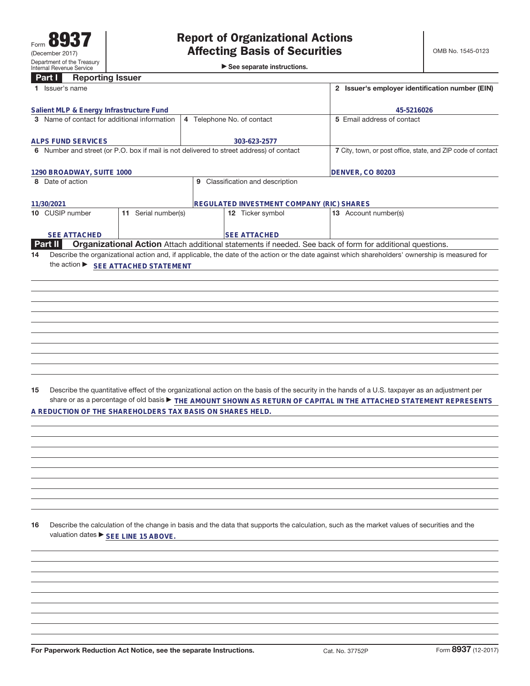►<br>► See separate instructions.

| Internal Revenue Service                                                                |                     | ► 566 separate instructions.                                 |                                                                                                                                                                                                                                                                     |
|-----------------------------------------------------------------------------------------|---------------------|--------------------------------------------------------------|---------------------------------------------------------------------------------------------------------------------------------------------------------------------------------------------------------------------------------------------------------------------|
| <b>Reporting Issuer</b><br>Part I                                                       |                     |                                                              |                                                                                                                                                                                                                                                                     |
| 1 Issuer's name                                                                         |                     | 2 Issuer's employer identification number (EIN)              |                                                                                                                                                                                                                                                                     |
| Salient MLP & Energy Infrastructure Fund                                                |                     | 4 Telephone No. of contact                                   | 45-5216026                                                                                                                                                                                                                                                          |
| 3 Name of contact for additional information                                            |                     | 5 Email address of contact                                   |                                                                                                                                                                                                                                                                     |
| <b>ALPS FUND SERVICES</b>                                                               |                     | 303-623-2577                                                 |                                                                                                                                                                                                                                                                     |
| 6 Number and street (or P.O. box if mail is not delivered to street address) of contact |                     | 7 City, town, or post office, state, and ZIP code of contact |                                                                                                                                                                                                                                                                     |
| 1290 BROADWAY, SUITE 1000                                                               |                     |                                                              | <b>DENVER, CO 80203</b>                                                                                                                                                                                                                                             |
| 8 Date of action                                                                        |                     | 9 Classification and description                             |                                                                                                                                                                                                                                                                     |
| 11/30/2021                                                                              |                     | REGULATED INVESTMENT COMPANY (RIC) SHARES                    |                                                                                                                                                                                                                                                                     |
| 10 CUSIP number                                                                         | 11 Serial number(s) | 12 Ticker symbol                                             | 13 Account number(s)                                                                                                                                                                                                                                                |
| <b>SEE ATTACHED</b>                                                                     |                     | <b>SEE ATTACHED</b>                                          |                                                                                                                                                                                                                                                                     |
| Part II                                                                                 |                     |                                                              | Organizational Action Attach additional statements if needed. See back of form for additional questions.                                                                                                                                                            |
| 14<br>the action ▶ SEE ATTACHED STATEMENT                                               |                     |                                                              | Describe the organizational action and, if applicable, the date of the action or the date against which shareholders' ownership is measured for                                                                                                                     |
|                                                                                         |                     |                                                              |                                                                                                                                                                                                                                                                     |
|                                                                                         |                     |                                                              |                                                                                                                                                                                                                                                                     |
|                                                                                         |                     |                                                              |                                                                                                                                                                                                                                                                     |
|                                                                                         |                     |                                                              |                                                                                                                                                                                                                                                                     |
|                                                                                         |                     |                                                              |                                                                                                                                                                                                                                                                     |
|                                                                                         |                     |                                                              |                                                                                                                                                                                                                                                                     |
|                                                                                         |                     |                                                              |                                                                                                                                                                                                                                                                     |
|                                                                                         |                     |                                                              |                                                                                                                                                                                                                                                                     |
|                                                                                         |                     |                                                              |                                                                                                                                                                                                                                                                     |
|                                                                                         |                     |                                                              |                                                                                                                                                                                                                                                                     |
| 15                                                                                      |                     |                                                              | Describe the quantitative effect of the organizational action on the basis of the security in the hands of a U.S. taxpayer as an adjustment per<br>share or as a percentage of old basis FHE AMOUNT SHOWN AS RETURN OF CAPITAL IN THE ATTACHED STATEMENT REPRESENTS |
| A REDUCTION OF THE SHAREHOLDERS TAX BASIS ON SHARES HELD.                               |                     |                                                              |                                                                                                                                                                                                                                                                     |
|                                                                                         |                     |                                                              |                                                                                                                                                                                                                                                                     |
|                                                                                         |                     |                                                              |                                                                                                                                                                                                                                                                     |
|                                                                                         |                     |                                                              |                                                                                                                                                                                                                                                                     |
|                                                                                         |                     |                                                              |                                                                                                                                                                                                                                                                     |
|                                                                                         |                     |                                                              |                                                                                                                                                                                                                                                                     |
|                                                                                         |                     |                                                              |                                                                                                                                                                                                                                                                     |
|                                                                                         |                     |                                                              |                                                                                                                                                                                                                                                                     |
|                                                                                         |                     |                                                              |                                                                                                                                                                                                                                                                     |
|                                                                                         |                     |                                                              |                                                                                                                                                                                                                                                                     |
| 16<br>valuation dates ▶ SEE LINE 15 ABOVE.                                              |                     |                                                              | Describe the calculation of the change in basis and the data that supports the calculation, such as the market values of securities and the                                                                                                                         |
|                                                                                         |                     |                                                              |                                                                                                                                                                                                                                                                     |
|                                                                                         |                     |                                                              |                                                                                                                                                                                                                                                                     |
|                                                                                         |                     |                                                              |                                                                                                                                                                                                                                                                     |
|                                                                                         |                     |                                                              |                                                                                                                                                                                                                                                                     |
|                                                                                         |                     |                                                              |                                                                                                                                                                                                                                                                     |
|                                                                                         |                     |                                                              |                                                                                                                                                                                                                                                                     |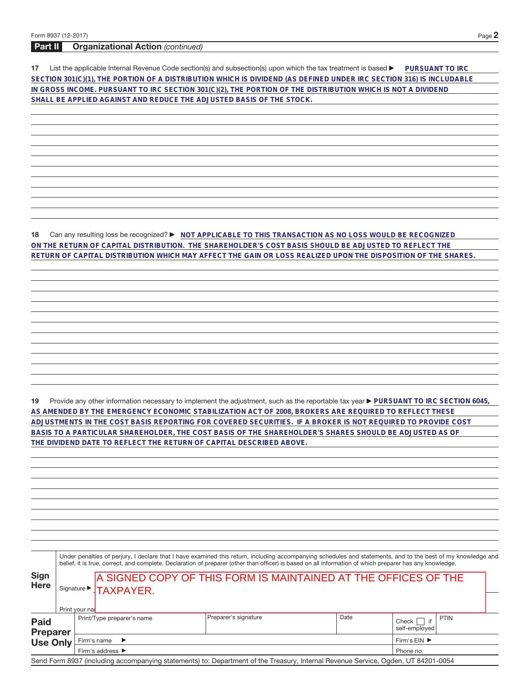## **Part II Organizational Action** (continued)

**17** List the applicable Internal Revenue Code section(s) and subsection(s) upon which the tax treatment is based **DuRSUANT TO IRC SECTION 301(C)(1), THE PORTION OF A DISTRIBUTION WHICH IS DIVIDEND (AS DEFINED UNDER IRC SECTION 316) IS INCLUDABLE IN GROSS INCOME. PURSUANT TO IRC SECTION 301(C)(2), THE PORTION OF THE DISTRIBUTION WHICH IS NOT A DIVIDEND SHALL BE APPLIED AGAINST AND REDUCE THE ADJUSTED BASIS OF THE STOCK.**

**18** Can any resulting loss be recognized? ▶ NOT APPLICABLE TO THIS TRANSACTION AS NO LOSS WOULD BE RECOGNIZED **ON THE RETURN OF CAPITAL DISTRIBUTION. THE SHAREHOLDER'S COST BASIS SHOULD BE ADJUSTED TO REFLECT THE RETURN OF CAPITAL DISTRIBUTION WHICH MAY AFFECT THE GAIN OR LOSS REALIZED UPON THE DISPOSITION OF THE SHARES.**

19 Provide any other information necessary to implement the adjustment, such as the reportable tax year **PURSUANT TO IRC SECTION 6045**, **AS AMENDED BY THE EMERGENCY ECONOMIC STABILIZATION ACT OF 2008, BROKERS ARE REQUIRED TO REFLECT THESE ADJUSTMENTS IN THE COST BASIS REPORTING FOR COVERED SECURITIES. IF A BROKER IS NOT REQUIRED TO PROVIDE COST BASIS TO A PARTICULAR SHAREHOLDER, THE COST BASIS OF THE SHAREHOLDER'S SHARES SHOULD BE ADJUSTED AS OF THE DIVIDEND DATE TO REFLECT THE RETURN OF CAPITAL DESCRIBED ABOVE.**

|                 |                 |  | Preparer's signature                                                                                                           | Date | if<br>Check    <br>self-emploved |                                                                                                                                                                                                                                                                                                                                                                                                                        |
|-----------------|-----------------|--|--------------------------------------------------------------------------------------------------------------------------------|------|----------------------------------|------------------------------------------------------------------------------------------------------------------------------------------------------------------------------------------------------------------------------------------------------------------------------------------------------------------------------------------------------------------------------------------------------------------------|
| <b>Use Only</b> |                 |  | Firm's $EIN$                                                                                                                   |      |                                  |                                                                                                                                                                                                                                                                                                                                                                                                                        |
|                 | <b>Preparer</b> |  | Signature > TAXPAYER.<br>Print your nal<br>Print/Type preparer's name<br>Firm's name $\blacktriangleright$<br>Firm's address ▶ |      |                                  | Under penalties of perjury, I declare that I have examined this return, including accompanying schedules and statements, and to the best of my knowledge and<br>belief, it is true, correct, and complete. Declaration of preparer (other than officer) is based on all information of which preparer has any knowledge.<br>A SIGNED COPY OF THIS FORM IS MAINTAINED AT THE OFFICES OF THE<br><b>PTIN</b><br>Phone no. |

Send Form 8937 (including accompanying statements) to: Department of the Treasury, Internal Revenue Service, Ogden, UT 84201-0054